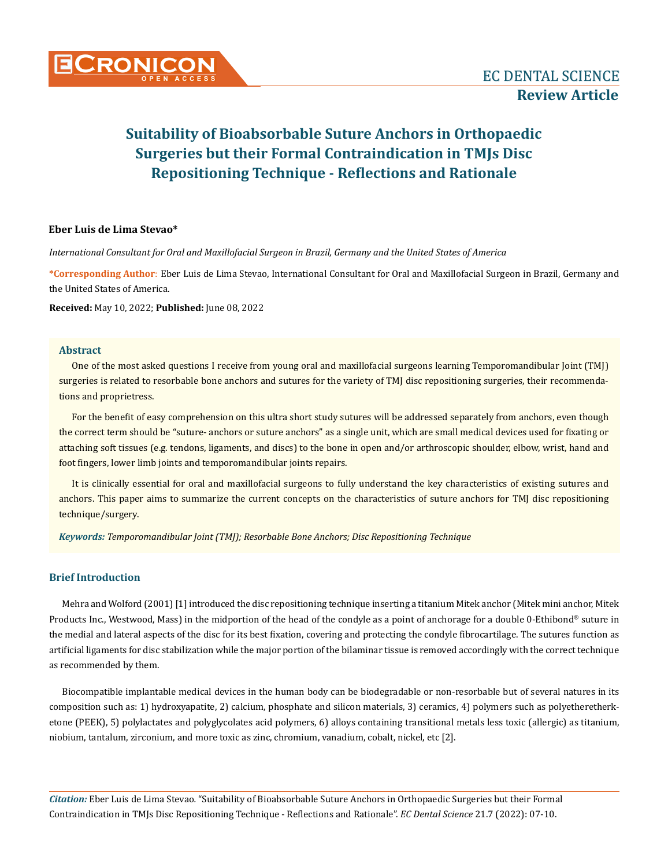

# **Suitability of Bioabsorbable Suture Anchors in Orthopaedic Surgeries but their Formal Contraindication in TMJs Disc Repositioning Technique - Reflections and Rationale**

#### **Eber Luis de Lima Stevao\***

*International Consultant for Oral and Maxillofacial Surgeon in Brazil, Germany and the United States of America*

**\*Corresponding Author**: Eber Luis de Lima Stevao, International Consultant for Oral and Maxillofacial Surgeon in Brazil, Germany and the United States of America.

**Received:** May 10, 2022; **Published:** June 08, 2022

#### **Abstract**

One of the most asked questions I receive from young oral and maxillofacial surgeons learning Temporomandibular Joint (TMJ) surgeries is related to resorbable bone anchors and sutures for the variety of TMJ disc repositioning surgeries, their recommendations and proprietress.

For the benefit of easy comprehension on this ultra short study sutures will be addressed separately from anchors, even though the correct term should be "suture- anchors or suture anchors" as a single unit, which are small medical devices used for fixating or attaching soft tissues (e.g. tendons, ligaments, and discs) to the bone in open and/or arthroscopic shoulder, elbow, wrist, hand and foot fingers, lower limb joints and temporomandibular joints repairs.

It is clinically essential for oral and maxillofacial surgeons to fully understand the key characteristics of existing sutures and anchors. This paper aims to summarize the current concepts on the characteristics of suture anchors for TMJ disc repositioning technique/surgery.

*Keywords: Temporomandibular Joint (TMJ); Resorbable Bone Anchors; Disc Repositioning Technique*

#### **Brief Introduction**

Mehra and Wolford (2001) [1] introduced the disc repositioning technique inserting a titanium Mitek anchor (Mitek mini anchor, Mitek Products Inc., Westwood, Mass) in the midportion of the head of the condyle as a point of anchorage for a double 0-Ethibond® suture in the medial and lateral aspects of the disc for its best fixation, covering and protecting the condyle fibrocartilage. The sutures function as artificial ligaments for disc stabilization while the major portion of the bilaminar tissue is removed accordingly with the correct technique as recommended by them.

Biocompatible implantable medical devices in the human body can be biodegradable or non-resorbable but of several natures in its composition such as: 1) hydroxyapatite, 2) calcium, phosphate and silicon materials, 3) ceramics, 4) polymers such as polyetheretherketone (PEEK), 5) polylactates and polyglycolates acid polymers, 6) alloys containing transitional metals less toxic (allergic) as titanium, niobium, tantalum, zirconium, and more toxic as zinc, chromium, vanadium, cobalt, nickel, etc [2].

*Citation:* Eber Luis de Lima Stevao*.* "Suitability of Bioabsorbable Suture Anchors in Orthopaedic Surgeries but their Formal Contraindication in TMJs Disc Repositioning Technique - Reflections and Rationale". *EC Dental Science* 21.7 (2022): 07-10.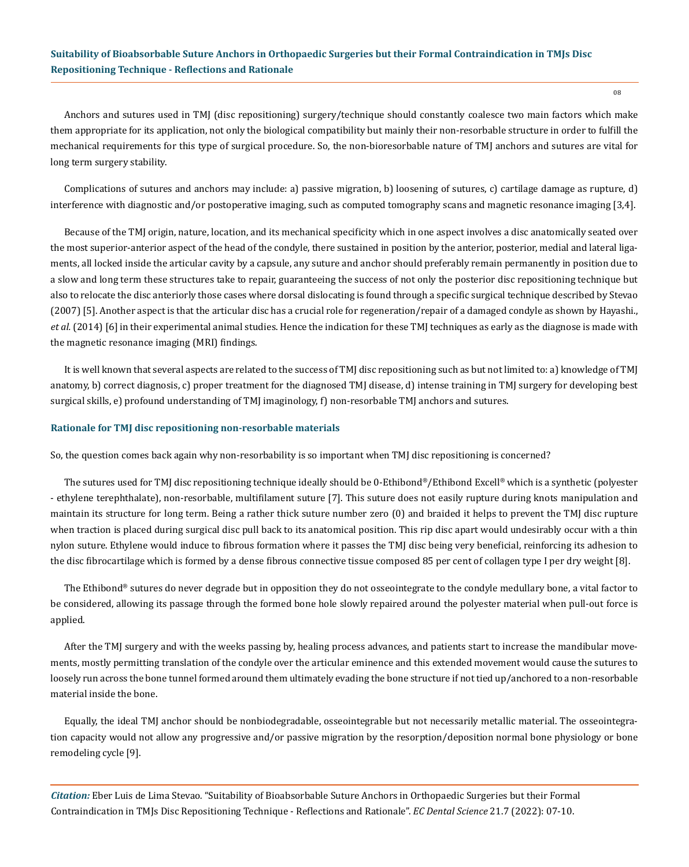## **Suitability of Bioabsorbable Suture Anchors in Orthopaedic Surgeries but their Formal Contraindication in TMJs Disc Repositioning Technique - Reflections and Rationale**

Anchors and sutures used in TMJ (disc repositioning) surgery/technique should constantly coalesce two main factors which make them appropriate for its application, not only the biological compatibility but mainly their non-resorbable structure in order to fulfill the mechanical requirements for this type of surgical procedure. So, the non-bioresorbable nature of TMJ anchors and sutures are vital for long term surgery stability.

Complications of sutures and anchors may include: a) passive migration, b) loosening of sutures, c) cartilage damage as rupture, d) interference with diagnostic and/or postoperative imaging, such as computed tomography scans and magnetic resonance imaging [3,4].

Because of the TMJ origin, nature, location, and its mechanical specificity which in one aspect involves a disc anatomically seated over the most superior-anterior aspect of the head of the condyle, there sustained in position by the anterior, posterior, medial and lateral ligaments, all locked inside the articular cavity by a capsule, any suture and anchor should preferably remain permanently in position due to a slow and long term these structures take to repair, guaranteeing the success of not only the posterior disc repositioning technique but also to relocate the disc anteriorly those cases where dorsal dislocating is found through a specific surgical technique described by Stevao (2007) [5]. Another aspect is that the articular disc has a crucial role for regeneration/repair of a damaged condyle as shown by Hayashi., *et al.* (2014) [6] in their experimental animal studies. Hence the indication for these TMJ techniques as early as the diagnose is made with the magnetic resonance imaging (MRI) findings.

It is well known that several aspects are related to the success of TMJ disc repositioning such as but not limited to: a) knowledge of TMJ anatomy, b) correct diagnosis, c) proper treatment for the diagnosed TMJ disease, d) intense training in TMJ surgery for developing best surgical skills, e) profound understanding of TMJ imaginology, f) non-resorbable TMJ anchors and sutures.

#### **Rationale for TMJ disc repositioning non-resorbable materials**

So, the question comes back again why non-resorbability is so important when TMJ disc repositioning is concerned?

The sutures used for TMJ disc repositioning technique ideally should be 0-Ethibond®/Ethibond Excell® which is a synthetic (polyester - ethylene terephthalate), non-resorbable, multifilament suture [7]. This suture does not easily rupture during knots manipulation and maintain its structure for long term. Being a rather thick suture number zero (0) and braided it helps to prevent the TMJ disc rupture when traction is placed during surgical disc pull back to its anatomical position. This rip disc apart would undesirably occur with a thin nylon suture. Ethylene would induce to fibrous formation where it passes the TMJ disc being very beneficial, reinforcing its adhesion to the disc fibrocartilage which is formed by a dense fibrous connective tissue composed 85 per cent of collagen type I per dry weight [8].

The Ethibond® sutures do never degrade but in opposition they do not osseointegrate to the condyle medullary bone, a vital factor to be considered, allowing its passage through the formed bone hole slowly repaired around the polyester material when pull-out force is applied.

After the TMJ surgery and with the weeks passing by, healing process advances, and patients start to increase the mandibular movements, mostly permitting translation of the condyle over the articular eminence and this extended movement would cause the sutures to loosely run across the bone tunnel formed around them ultimately evading the bone structure if not tied up/anchored to a non-resorbable material inside the bone.

Equally, the ideal TMJ anchor should be nonbiodegradable, osseointegrable but not necessarily metallic material. The osseointegration capacity would not allow any progressive and/or passive migration by the resorption/deposition normal bone physiology or bone remodeling cycle [9].

*Citation:* Eber Luis de Lima Stevao*.* "Suitability of Bioabsorbable Suture Anchors in Orthopaedic Surgeries but their Formal Contraindication in TMJs Disc Repositioning Technique - Reflections and Rationale". *EC Dental Science* 21.7 (2022): 07-10.

08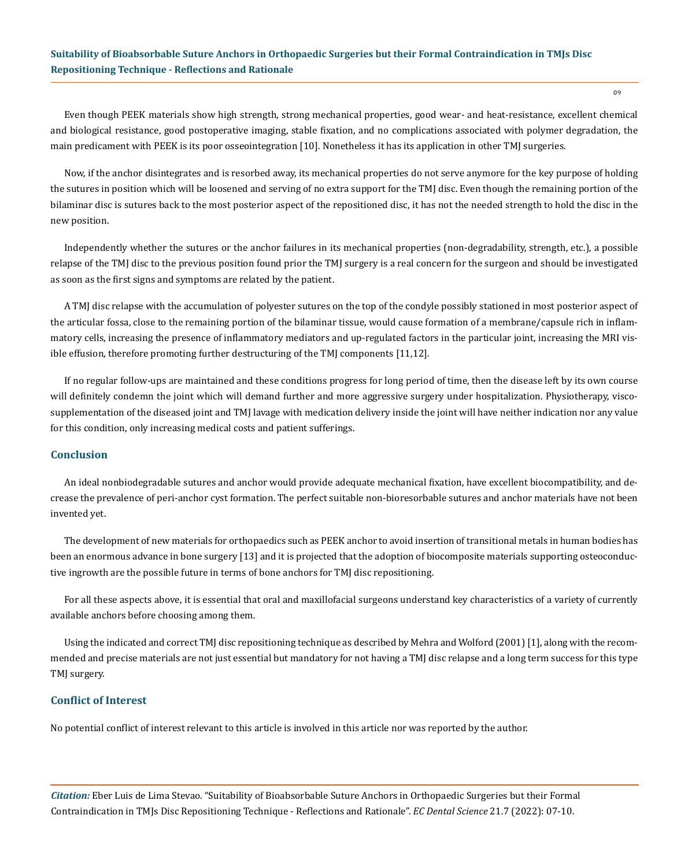## **Suitability of Bioabsorbable Suture Anchors in Orthopaedic Surgeries but their Formal Contraindication in TMJs Disc Repositioning Technique - Reflections and Rationale**

Even though PEEK materials show high strength, strong mechanical properties, good wear- and heat-resistance, excellent chemical and biological resistance, good postoperative imaging, stable fixation, and no complications associated with polymer degradation, the main predicament with PEEK is its poor osseointegration [10]. Nonetheless it has its application in other TMJ surgeries.

Now, if the anchor disintegrates and is resorbed away, its mechanical properties do not serve anymore for the key purpose of holding the sutures in position which will be loosened and serving of no extra support for the TMJ disc. Even though the remaining portion of the bilaminar disc is sutures back to the most posterior aspect of the repositioned disc, it has not the needed strength to hold the disc in the new position.

Independently whether the sutures or the anchor failures in its mechanical properties (non-degradability, strength, etc.), a possible relapse of the TMJ disc to the previous position found prior the TMJ surgery is a real concern for the surgeon and should be investigated as soon as the first signs and symptoms are related by the patient.

A TMJ disc relapse with the accumulation of polyester sutures on the top of the condyle possibly stationed in most posterior aspect of the articular fossa, close to the remaining portion of the bilaminar tissue, would cause formation of a membrane/capsule rich in inflammatory cells, increasing the presence of inflammatory mediators and up-regulated factors in the particular joint, increasing the MRI visible effusion, therefore promoting further destructuring of the TMJ components [11,12].

If no regular follow-ups are maintained and these conditions progress for long period of time, then the disease left by its own course will definitely condemn the joint which will demand further and more aggressive surgery under hospitalization. Physiotherapy, viscosupplementation of the diseased joint and TMJ lavage with medication delivery inside the joint will have neither indication nor any value for this condition, only increasing medical costs and patient sufferings.

#### **Conclusion**

An ideal nonbiodegradable sutures and anchor would provide adequate mechanical fixation, have excellent biocompatibility, and decrease the prevalence of peri-anchor cyst formation. The perfect suitable non-bioresorbable sutures and anchor materials have not been invented yet.

The development of new materials for orthopaedics such as PEEK anchor to avoid insertion of transitional metals in human bodies has been an enormous advance in bone surgery [13] and it is projected that the adoption of biocomposite materials supporting osteoconductive ingrowth are the possible future in terms of bone anchors for TMJ disc repositioning.

For all these aspects above, it is essential that oral and maxillofacial surgeons understand key characteristics of a variety of currently available anchors before choosing among them.

Using the indicated and correct TMJ disc repositioning technique as described by Mehra and Wolford (2001) [1], along with the recommended and precise materials are not just essential but mandatory for not having a TMJ disc relapse and a long term success for this type TMJ surgery.

## **Conflict of Interest**

No potential conflict of interest relevant to this article is involved in this article nor was reported by the author.

*Citation:* Eber Luis de Lima Stevao*.* "Suitability of Bioabsorbable Suture Anchors in Orthopaedic Surgeries but their Formal Contraindication in TMJs Disc Repositioning Technique - Reflections and Rationale". *EC Dental Science* 21.7 (2022): 07-10.

09